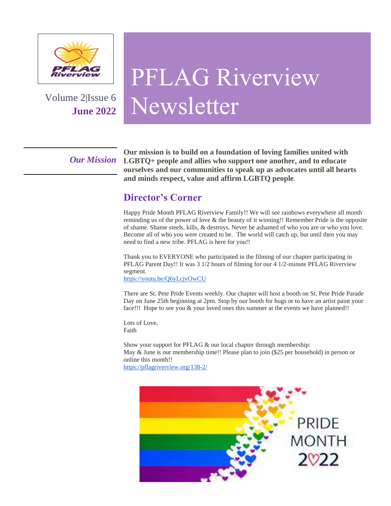

Volume 2|Issue 6 **June 2022**

# PFLAG Riverview Newsletter

*Our Mission*

**Our mission is to build on a foundation of loving families united with LGBTQ+ people and allies who support one another, and to educate ourselves and our communities to speak up as advocates until all hearts and minds respect, value and affirm LGBTQ people.**

# **Director's Corner**

Happy Pride Month PFLAG Riverview Family!! We will see rainbows everywhere all month reminding us of the power of love  $\&$  the beauty of it winning!! Remember Pride is the opposite of shame. Shame steels, kills, & destroys. Never be ashamed of who you are or who you love. Become all of who you were created to be. The world will catch up, but until then you may need to find a new tribe. PFLAG is here for you!!

Thank you to EVERYONE who participated in the filming of our chapter participating in PFLAG Parent Day!! It was 3 1/2 hours of filming for our 4 1/2-minute PFLAG Riverview segment.

<https://youtu.be/Q6yLcjvOwCU>

There are St. Pete Pride Events weekly. Our chapter will host a booth on St. Pete Pride Parade Day on June 25th beginning at 2pm. Stop by our booth for hugs or to have an artist paint your face!!! Hope to see you  $\&$  your loved ones this summer at the events we have planned!!

Lots of Love, Faith

Show your support for PFLAG & our local chapter through membership: May & June is our membership time!! Please plan to join (\$25 per household) in person or online this month!! <https://pflagriverview.org/138-2/>

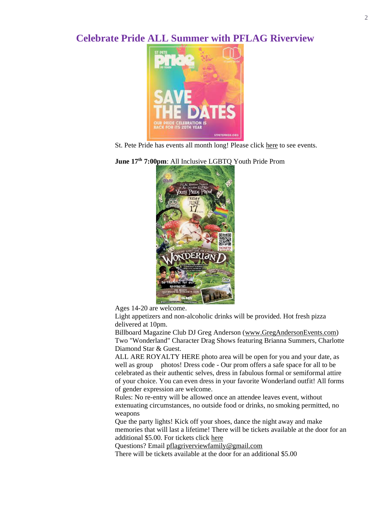## **Celebrate Pride ALL Summer with PFLAG Riverview**



St. Pete Pride has events all month long! Please click [here](https://www.stpetepride.org/explore-events/st-pete-pride-events) to see events.

## **June 17th 7:00pm**: All Inclusive LGBTQ Youth Pride Prom



Ages 14-20 are welcome.

Light appetizers and non-alcoholic drinks will be provided. Hot fresh pizza delivered at 10pm.

Billboard Magazine Club DJ Greg Anderson [\(www.GregAndersonEvents.com\)](http://www.gregandersonevents.com/?fbclid=IwAR1Jv4jl3tE0Oolf2nriv4oDCAAdlvWH8fjGtVHJHzpgE3m07Oqdv-op3tM) Two "Wonderland" Character Drag Shows featuring Brianna Summers, Charlotte Diamond Star & Guest.

ALL ARE ROYALTY HERE photo area will be open for you and your date, as well as group photos! Dress code - Our prom offers a safe space for all to be celebrated as their authentic selves, dress in fabulous formal or semiformal attire of your choice. You can even dress in your favorite Wonderland outfit! All forms of gender expression are welcome.

Rules: No re-entry will be allowed once an attendee leaves event, without extenuating circumstances, no outside food or drinks, no smoking permitted, no weapons

Que the party lights! Kick off your shoes, dance the night away and make memories that will last a lifetime! There will be tickets available at the door for an additional \$5.00. For tickets clic[k here](http://www.eventbrite.com/e/lgbtq-youth-pride-prom-the-regent-in-riverview-fl-tickets-295826554187)

Questions? Emai[l pflagriverviewfamily@gmail.com](mailto:pflagriverviewfamily@gmail.com)

There will be tickets available at the door for an additional \$5.00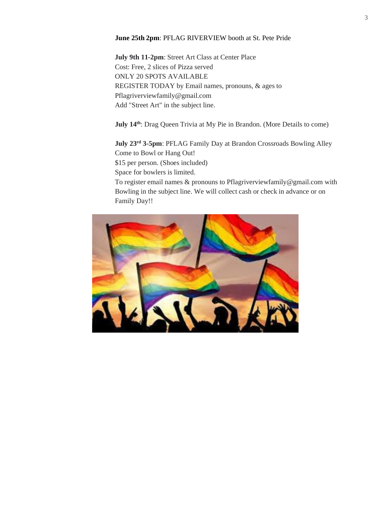#### **June 25th 2pm**: PFLAG RIVERVIEW booth at St. Pete Pride

 **July 9th 11-2pm**: Street Art Class at Center Place Cost: Free, 2 slices of Pizza served ONLY 20 SPOTS AVAILABLE REGISTER TODAY by Email names, pronouns, & ages to Pflagriverviewfamily@gmail.com Add "Street Art" in the subject line.

**July 14th**: Drag Queen Trivia at My Pie in Brandon. (More Details to come)

**July 23rd 3-5pm**: PFLAG Family Day at Brandon Crossroads Bowling Alley Come to Bowl or Hang Out! \$15 per person. (Shoes included) Space for bowlers is limited. To register email names & pronouns to Pflagriverviewfamily@gmail.com with

Bowling in the subject line. We will collect cash or check in advance or on Family Day!!

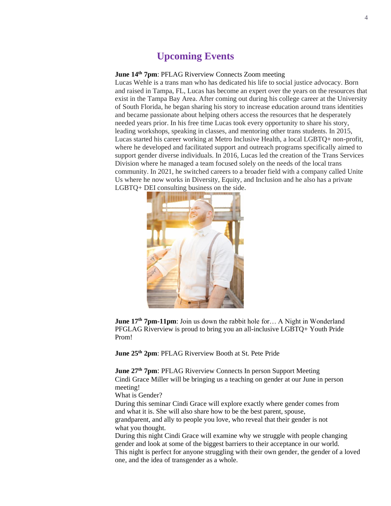## **Upcoming Events**

## **June 14th 7pm**: PFLAG Riverview Connects Zoom meeting

Lucas Wehle is a trans man who has dedicated his life to social justice advocacy. Born and raised in Tampa, FL, Lucas has become an expert over the years on the resources that exist in the Tampa Bay Area. After coming out during his college career at the University of South Florida, he began sharing his story to increase education around trans identities and became passionate about helping others access the resources that he desperately needed years prior. In his free time Lucas took every opportunity to share his story, leading workshops, speaking in classes, and mentoring other trans students. In 2015, Lucas started his career working at Metro Inclusive Health, a local LGBTQ+ non-profit, where he developed and facilitated support and outreach programs specifically aimed to support gender diverse individuals. In 2016, Lucas led the creation of the Trans Services Division where he managed a team focused solely on the needs of the local trans community. In 2021, he switched careers to a broader field with a company called Unite Us where he now works in Diversity, Equity, and Inclusion and he also has a private LGBTQ+ DEI consulting business on the side.



**June 17th 7pm-11pm**: Join us down the rabbit hole for… A Night in Wonderland PFGLAG Riverview is proud to bring you an all-inclusive LGBTQ+ Youth Pride Prom!

**June 25th 2pm**: PFLAG Riverview Booth at St. Pete Pride

**June 27th 7pm**: PFLAG Riverview Connects In person Support Meeting Cindi Grace Miller will be bringing us a teaching on gender at our June in person meeting!

What is Gender?

During this seminar Cindi Grace will explore exactly where gender comes from and what it is. She will also share how to be the best parent, spouse, grandparent, and ally to people you love, who reveal that their gender is not what you thought.

During this night Cindi Grace will examine why we struggle with people changing gender and look at some of the biggest barriers to their acceptance in our world. This night is perfect for anyone struggling with their own gender, the gender of a loved one, and the idea of transgender as a whole.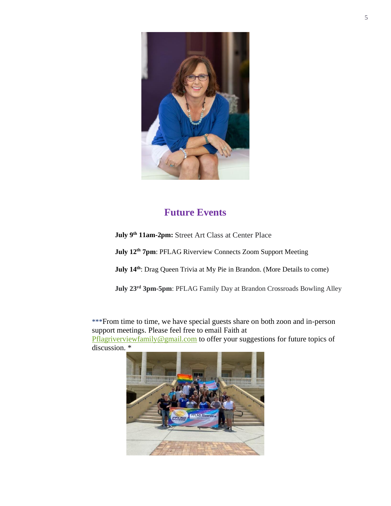

# **Future Events**

**July 9th 11am-2pm:** Street Art Class at Center Place

**July 12th 7pm**: PFLAG Riverview Connects Zoom Support Meeting

**July 14th**: Drag Queen Trivia at My Pie in Brandon. (More Details to come)

**July 23rd 3pm-5pm**: PFLAG Family Day at Brandon Crossroads Bowling Alley

\*\*\*From time to time, we have special guests share on both zoon and in-person support meetings. Please feel free to email Faith at

[Pflagriverviewfamily@gmail.com](mailto:Pflagriverviewfamily@gmail.com) to offer your suggestions for future topics of discussion. \*